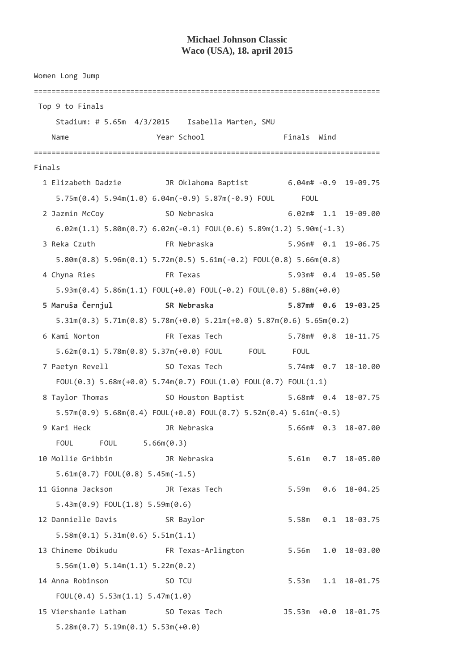## **Michael Johnson Classic Waco (USA), 18. april 2015**

Women Long Jump =============================================================================== Top 9 to Finals Stadium: # 5.65m 4/3/2015 Isabella Marten, SMU Name **The Year School** Finals Wind =============================================================================== Finals 1 Elizabeth Dadzie JR Oklahoma Baptist 6.04m# -0.9 19-09.75 5.75m(0.4) 5.94m(1.0) 6.04m(-0.9) 5.87m(-0.9) FOUL FOUL 2 Jazmin McCoy SO Nebraska 6.02m# 1.1 19-09.00 6.02m(1.1) 5.80m(0.7) 6.02m(-0.1) FOUL(0.6) 5.89m(1.2) 5.90m(-1.3) 3 Reka Czuth FR Nebraska 5.96m# 0.1 19-06.75 5.80m(0.8) 5.96m(0.1) 5.72m(0.5) 5.61m(-0.2) FOUL(0.8) 5.66m(0.8) 4 Chyna Ries FR Texas 5.93m# 0.4 19-05.50 5.93m(0.4) 5.86m(1.1) FOUL(+0.0) FOUL(-0.2) FOUL(0.8) 5.88m(+0.0)  **5 Maruša Černjul SR Nebraska 5.87m# 0.6 19-03.25**  5.31m(0.3) 5.71m(0.8) 5.78m(+0.0) 5.21m(+0.0) 5.87m(0.6) 5.65m(0.2) 6 Kami Norton FR Texas Tech 5.78m# 0.8 18-11.75 5.62m(0.1) 5.78m(0.8) 5.37m(+0.0) FOUL FOUL FOUL 7 Paetyn Revell SO Texas Tech 5.74m# 0.7 18-10.00 FOUL(0.3) 5.68m(+0.0) 5.74m(0.7) FOUL(1.0) FOUL(0.7) FOUL(1.1) 8 Taylor Thomas SO Houston Baptist 5.68m# 0.4 18-07.75 5.57m(0.9) 5.68m(0.4) FOUL(+0.0) FOUL(0.7) 5.52m(0.4) 5.61m(-0.5) 9 Kari Heck JR Nebraska 5.66m# 0.3 18-07.00 FOUL FOUL 5.66m(0.3) 10 Mollie Gribbin JR Nebraska 5.61m 0.7 18-05.00 5.61m(0.7) FOUL(0.8) 5.45m(-1.5) 11 Gionna Jackson JR Texas Tech 5.59m 0.6 18-04.25 5.43m(0.9) FOUL(1.8) 5.59m(0.6) 12 Dannielle Davis SR Baylor 5.58m 0.1 18-03.75 5.58m(0.1) 5.31m(0.6) 5.51m(1.1) 13 Chineme Obikudu FR Texas-Arlington 5.56m 1.0 18-03.00 5.56m(1.0) 5.14m(1.1) 5.22m(0.2) 14 Anna Robinson SO TCU 5.53m 1.1 18-01.75 FOUL(0.4) 5.53m(1.1) 5.47m(1.0) 15 Viershanie Latham SO Texas Tech J5.53m +0.0 18-01.75 5.28m(0.7) 5.19m(0.1) 5.53m(+0.0)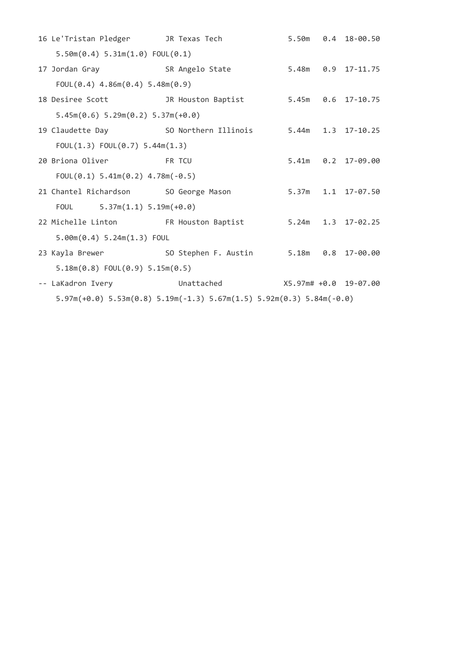|                                         | 16 Le'Tristan Pledger JR Texas Tech                                              |                                                          |  |  | 5.50m   0.4   18-00.50 |  |  |  |
|-----------------------------------------|----------------------------------------------------------------------------------|----------------------------------------------------------|--|--|------------------------|--|--|--|
| 5.50m(0.4) 5.31m(1.0) FOL(0.1)          |                                                                                  |                                                          |  |  |                        |  |  |  |
|                                         | 17 Jordan Gray 68 SR Angelo State                                                |                                                          |  |  |                        |  |  |  |
|                                         | $FOUL(0.4)$ 4.86m $(0.4)$ 5.48m $(0.9)$                                          |                                                          |  |  |                        |  |  |  |
|                                         | 18 Desiree Scott 1R Houston Baptist                                              |                                                          |  |  | 5.45m 0.6 17-10.75     |  |  |  |
|                                         | $5.45m(0.6) 5.29m(0.2) 5.37m(+0.0)$                                              |                                                          |  |  |                        |  |  |  |
|                                         |                                                                                  | 19 Claudette Day 50 Northern Illinois 5.44m 1.3 17-10.25 |  |  |                        |  |  |  |
| FOUL $(1.3)$ FOUL $(0.7)$ 5.44m $(1.3)$ |                                                                                  |                                                          |  |  |                        |  |  |  |
|                                         | 20 Briona Oliver FR TCU                                                          |                                                          |  |  | 5.41m   0.2   17-09.00 |  |  |  |
|                                         | FOUL $(0.1)$ 5.41m $(0.2)$ 4.78m $(-0.5)$                                        |                                                          |  |  |                        |  |  |  |
|                                         | 21 Chantel Richardson SO George Mason                                            |                                                          |  |  | 5.37m 1.1 17-07.50     |  |  |  |
|                                         | FOUL $5.37m(1.1) 5.19m(+0.0)$                                                    |                                                          |  |  |                        |  |  |  |
|                                         | 22 Michelle Linton FR Houston Baptist                                            |                                                          |  |  | 5.24m 1.3 17-02.25     |  |  |  |
| $5.00m(0.4) 5.24m(1.3)$ FOUL            |                                                                                  |                                                          |  |  |                        |  |  |  |
|                                         |                                                                                  | 23 Kayla Brewer 50 Stephen F. Austin 5.18m 0.8 17-00.00  |  |  |                        |  |  |  |
| $5.18m(0.8)$ FOUL $(0.9)$ 5.15m $(0.5)$ |                                                                                  |                                                          |  |  |                        |  |  |  |
|                                         | -- LaKadron Ivery <b>Fig. 10 Unattached</b>                                      | X5.97m# +0.0 19-07.00                                    |  |  |                        |  |  |  |
|                                         | $5.97m(+0.0)$ $5.53m(0.8)$ $5.19m(-1.3)$ $5.67m(1.5)$ $5.92m(0.3)$ $5.84m(-0.0)$ |                                                          |  |  |                        |  |  |  |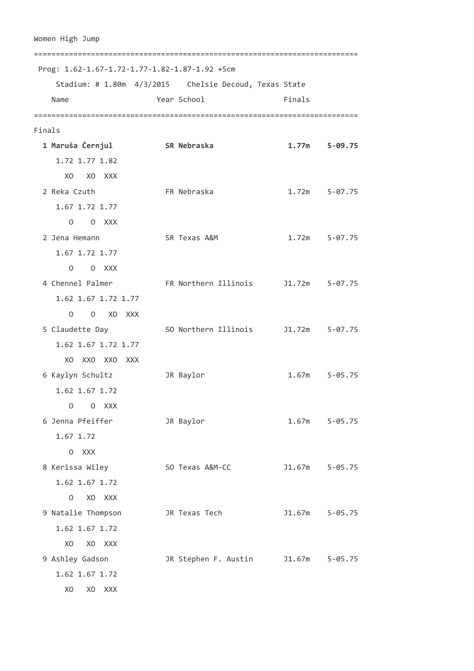```
Women High Jump 
========================================================================== 
 Prog: 1.62-1.67-1.72-1.77-1.82-1.87-1.92 +5cm 
    Stadium: # 1.80m 4/3/2015 Chelsie Decoud, Texas State 
   Name Year School Finals
========================================================================== 
Finals 
 1 Maruša Černjul SR Nebraska 1.77m 5-09.75
    1.72 1.77 1.82 
     XO XO XXX 
  2 Reka Czuth FR Nebraska 1.72m 5-07.75 
    1.67 1.72 1.77 
     O O XXX 
  2 Jena Hemann SR Texas A&M 1.72m 5-07.75 
    1.67 1.72 1.77 
     O O XXX 
  4 Chennel Palmer FR Northern Illinois J1.72m 5-07.75 
    1.62 1.67 1.72 1.77 
      O O XO XXX 
  5 Claudette Day SO Northern Illinois J1.72m 5-07.75 
    1.62 1.67 1.72 1.77 
     XO XXO XXO XXX 
  6 Kaylyn Schultz JR Baylor 1.67m 5-05.75 
    1.62 1.67 1.72 
      O O XXX 
  6 Jenna Pfeiffer JR Baylor 1.67m 5-05.75 
    1.67 1.72 
      O XXX 
  8 Kerissa Wiley SO Texas A&M-CC J1.67m 5-05.75 
    1.62 1.67 1.72 
     O XO XXX 
  9 Natalie Thompson JR Texas Tech J1.67m 5-05.75 
    1.62 1.67 1.72 
      XO XO XXX 
  9 Ashley Gadson JR Stephen F. Austin J1.67m 5-05.75 
    1.62 1.67 1.72 
     XO XO XXX
```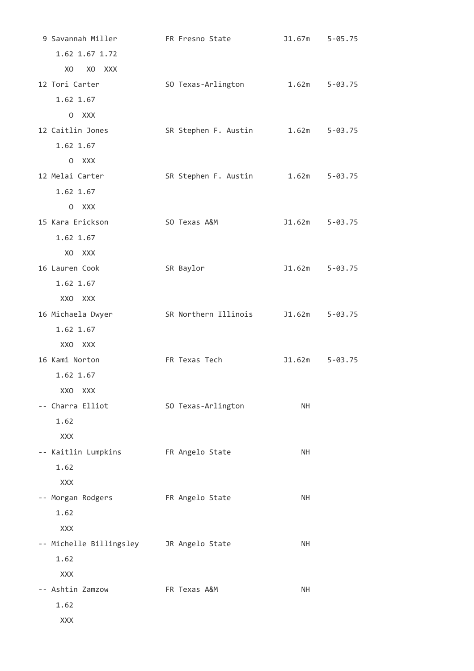| 9 Savannah Miller            | FR Fresno State      | J1.67m            | $5 - 05.75$    |
|------------------------------|----------------------|-------------------|----------------|
| 1.62 1.67 1.72               |                      |                   |                |
| X <sub>0</sub><br>XO XXX     |                      |                   |                |
| 12 Tori Carter               | SO Texas-Arlington   | $1.62m$ $5-03.75$ |                |
| 1.62 1.67                    |                      |                   |                |
| 0 XXX                        |                      |                   |                |
| 12 Caitlin Jones             | SR Stephen F. Austin |                   | 1.62m 5-03.75  |
| 1.62 1.67                    |                      |                   |                |
| 0 XXX                        |                      |                   |                |
| 12 Melai Carter              | SR Stephen F. Austin |                   | 1.62m 5-03.75  |
| 1.62 1.67                    |                      |                   |                |
| 0 XXX                        |                      |                   |                |
| 15 Kara Erickson             | SO Texas A&M         |                   | J1.62m 5-03.75 |
| 1.62 1.67                    |                      |                   |                |
| X <sub>0</sub><br><b>XXX</b> |                      |                   |                |
| 16 Lauren Cook               | SR Baylor            |                   | J1.62m 5-03.75 |
| 1.62 1.67                    |                      |                   |                |
| XXO XXX                      |                      |                   |                |
| 16 Michaela Dwyer            | SR Northern Illinois |                   | J1.62m 5-03.75 |
| 1.62 1.67                    |                      |                   |                |
| XXO XXX                      |                      |                   |                |
| 16 Kami Norton               | FR Texas Tech        | J1.62m            | $5 - 03.75$    |
| 1.62 1.67                    |                      |                   |                |
| XXO XXX                      |                      |                   |                |
| -- Charra Elliot             | SO Texas-Arlington   | <b>NH</b>         |                |
| 1.62                         |                      |                   |                |
| XXX                          |                      |                   |                |
| -- Kaitlin Lumpkins          | FR Angelo State      | <b>NH</b>         |                |
| 1.62                         |                      |                   |                |
| <b>XXX</b>                   |                      |                   |                |
| -- Morgan Rodgers            | FR Angelo State      | <b>NH</b>         |                |
| 1.62                         |                      |                   |                |
| XXX                          |                      |                   |                |
| -- Michelle Billingsley      | JR Angelo State      | <b>NH</b>         |                |
| 1.62                         |                      |                   |                |
| <b>XXX</b>                   |                      |                   |                |
| -- Ashtin Zamzow             | FR Texas A&M         | <b>NH</b>         |                |
| 1.62                         |                      |                   |                |
| XXX                          |                      |                   |                |